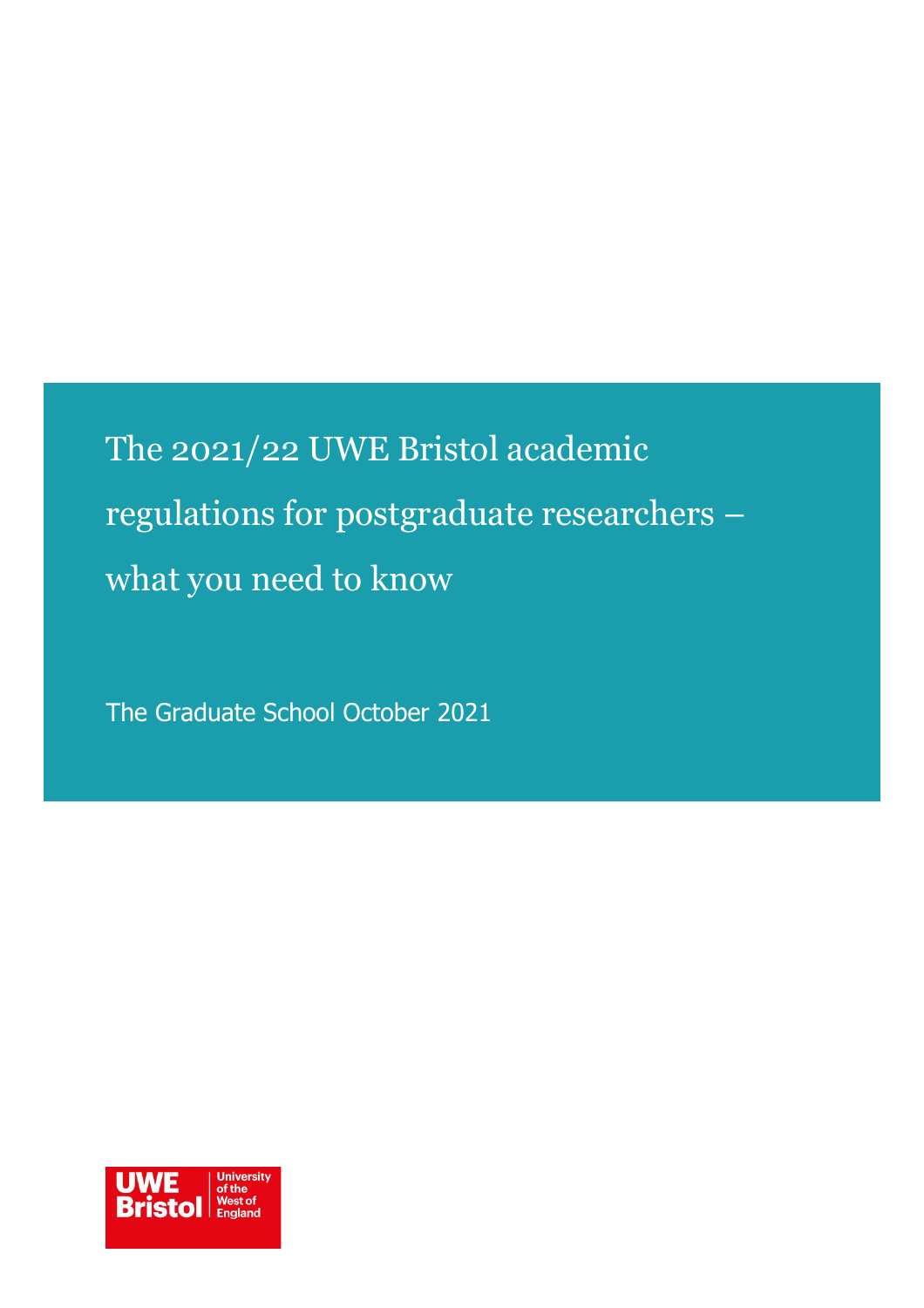The 2021/22 UWE Bristol academic regulations for postgraduate researchers – what you need to know

The Graduate School October 2021

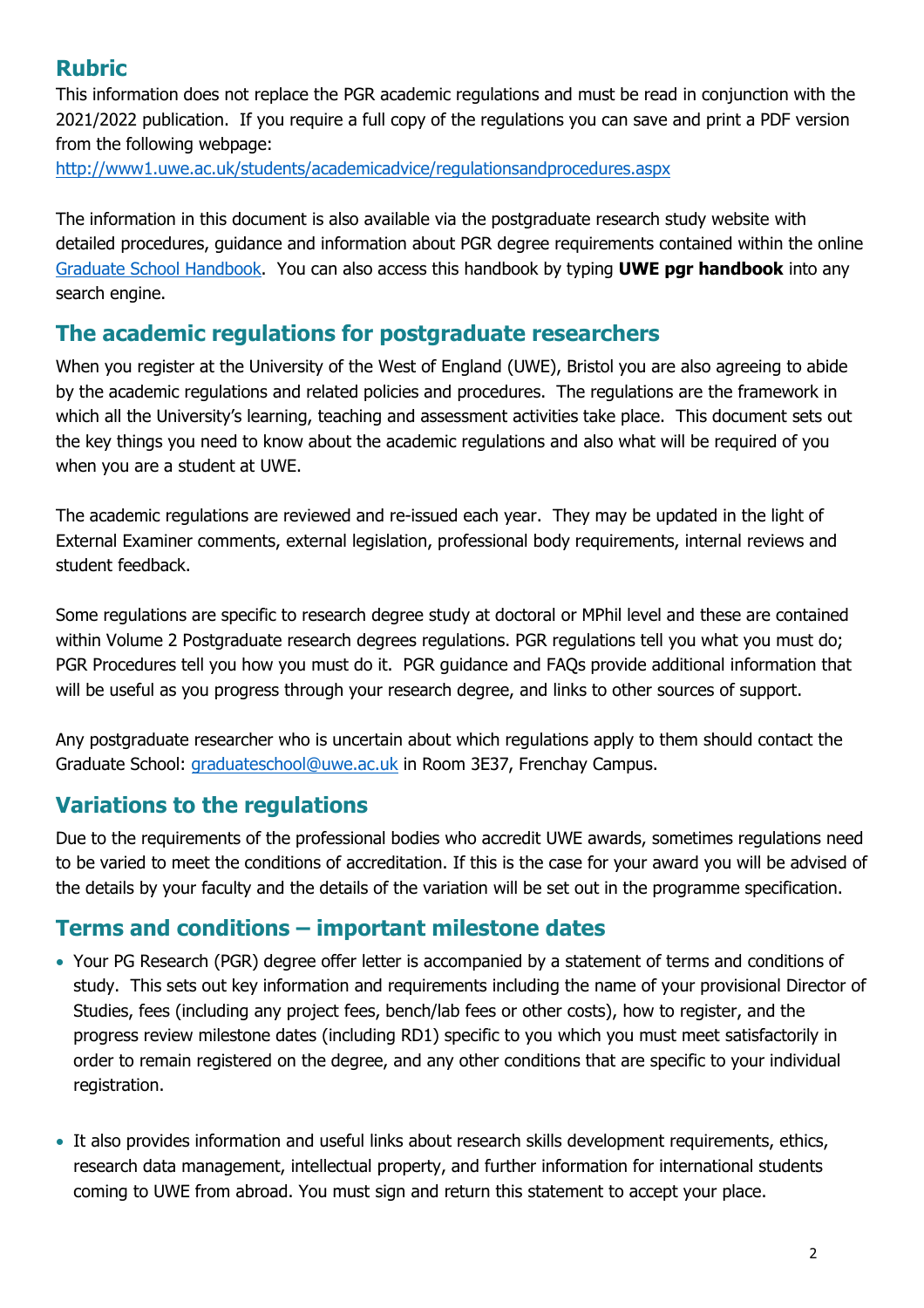# **Rubric**

This information does not replace the PGR academic regulations and must be read in conjunction with the 2021/2022 publication. If you require a full copy of the regulations you can save and print a PDF version from the following webpage:

<http://www1.uwe.ac.uk/students/academicadvice/regulationsandprocedures.aspx>

The information in this document is also available via the postgraduate research study website with detailed procedures, guidance and information about PGR degree requirements contained within the online [Graduate School Handbook.](https://www1.uwe.ac.uk/research/postgraduateresearchstudy/currentpgresearchers/graduateschoolhandbook.aspx) You can also access this handbook by typing **UWE pgr handbook** into any search engine.

## **The academic regulations for postgraduate researchers**

When you register at the University of the West of England (UWE), Bristol you are also agreeing to abide by the academic regulations and related policies and procedures. The regulations are the framework in which all the University's learning, teaching and assessment activities take place. This document sets out the key things you need to know about the academic regulations and also what will be required of you when you are a student at UWE.

The academic regulations are reviewed and re-issued each year. They may be updated in the light of External Examiner comments, external legislation, professional body requirements, internal reviews and student feedback.

Some regulations are specific to research degree study at doctoral or MPhil level and these are contained within Volume 2 Postgraduate research degrees regulations. PGR regulations tell you what you must do; PGR Procedures tell you how you must do it. PGR guidance and FAQs provide additional information that will be useful as you progress through your research degree, and links to other sources of support.

Any postgraduate researcher who is uncertain about which regulations apply to them should contact the Graduate School: [graduateschool@uwe.ac.uk](mailto:graduateschool@uwe.ac.uk) in Room 3E37, Frenchay Campus.

# **Variations to the regulations**

Due to the requirements of the professional bodies who accredit UWE awards, sometimes regulations need to be varied to meet the conditions of accreditation. If this is the case for your award you will be advised of the details by your faculty and the details of the variation will be set out in the programme specification.

## **Terms and conditions – important milestone dates**

- Your PG Research (PGR) degree offer letter is accompanied by a statement of terms and conditions of study. This sets out key information and requirements including the name of your provisional Director of Studies, fees (including any project fees, bench/lab fees or other costs), how to register, and the progress review milestone dates (including RD1) specific to you which you must meet satisfactorily in order to remain registered on the degree, and any other conditions that are specific to your individual registration.
- It also provides information and useful links about research skills development requirements, ethics, research data management, intellectual property, and further information for international students coming to UWE from abroad. You must sign and return this statement to accept your place.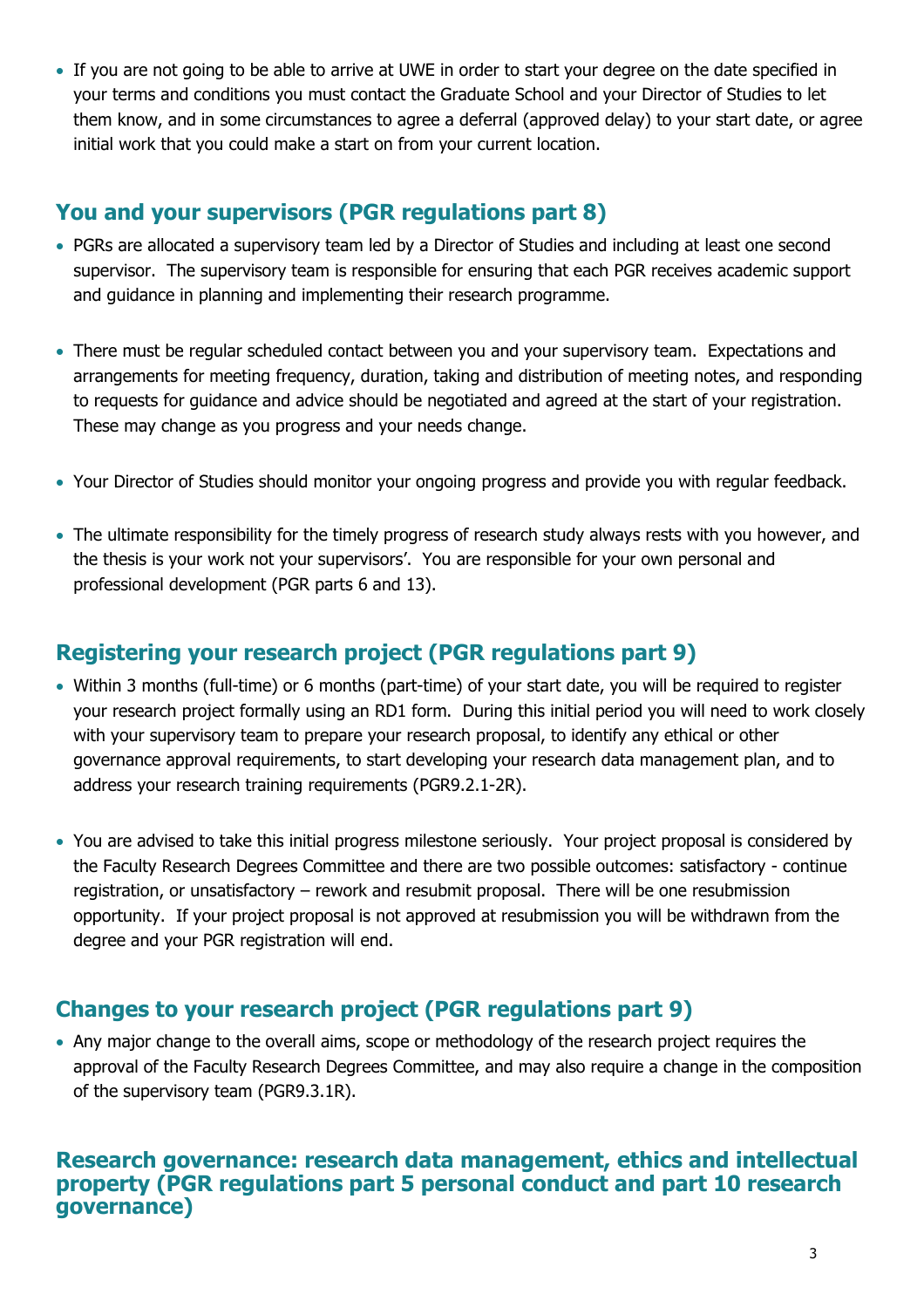• If you are not going to be able to arrive at UWE in order to start your degree on the date specified in your terms and conditions you must contact the Graduate School and your Director of Studies to let them know, and in some circumstances to agree a deferral (approved delay) to your start date, or agree initial work that you could make a start on from your current location.

### **You and your supervisors (PGR regulations part 8)**

- PGRs are allocated a supervisory team led by a Director of Studies and including at least one second supervisor. The supervisory team is responsible for ensuring that each PGR receives academic support and guidance in planning and implementing their research programme.
- There must be regular scheduled contact between you and your supervisory team. Expectations and arrangements for meeting frequency, duration, taking and distribution of meeting notes, and responding to requests for guidance and advice should be negotiated and agreed at the start of your registration. These may change as you progress and your needs change.
- Your Director of Studies should monitor your ongoing progress and provide you with regular feedback.
- The ultimate responsibility for the timely progress of research study always rests with you however, and the thesis is your work not your supervisors'. You are responsible for your own personal and professional development (PGR parts 6 and 13).

# **Registering your research project (PGR regulations part 9)**

- Within 3 months (full-time) or 6 months (part-time) of your start date, you will be required to register your research project formally using an RD1 form. During this initial period you will need to work closely with your supervisory team to prepare your research proposal, to identify any ethical or other governance approval requirements, to start developing your research data management plan, and to address your research training requirements (PGR9.2.1-2R).
- You are advised to take this initial progress milestone seriously. Your project proposal is considered by the Faculty Research Degrees Committee and there are two possible outcomes: satisfactory - continue registration, or unsatisfactory – rework and resubmit proposal. There will be one resubmission opportunity. If your project proposal is not approved at resubmission you will be withdrawn from the degree and your PGR registration will end.

## **Changes to your research project (PGR regulations part 9)**

• Any major change to the overall aims, scope or methodology of the research project requires the approval of the Faculty Research Degrees Committee, and may also require a change in the composition of the supervisory team (PGR9.3.1R).

### **Research governance: research data management, ethics and intellectual property (PGR regulations part 5 personal conduct and part 10 research governance)**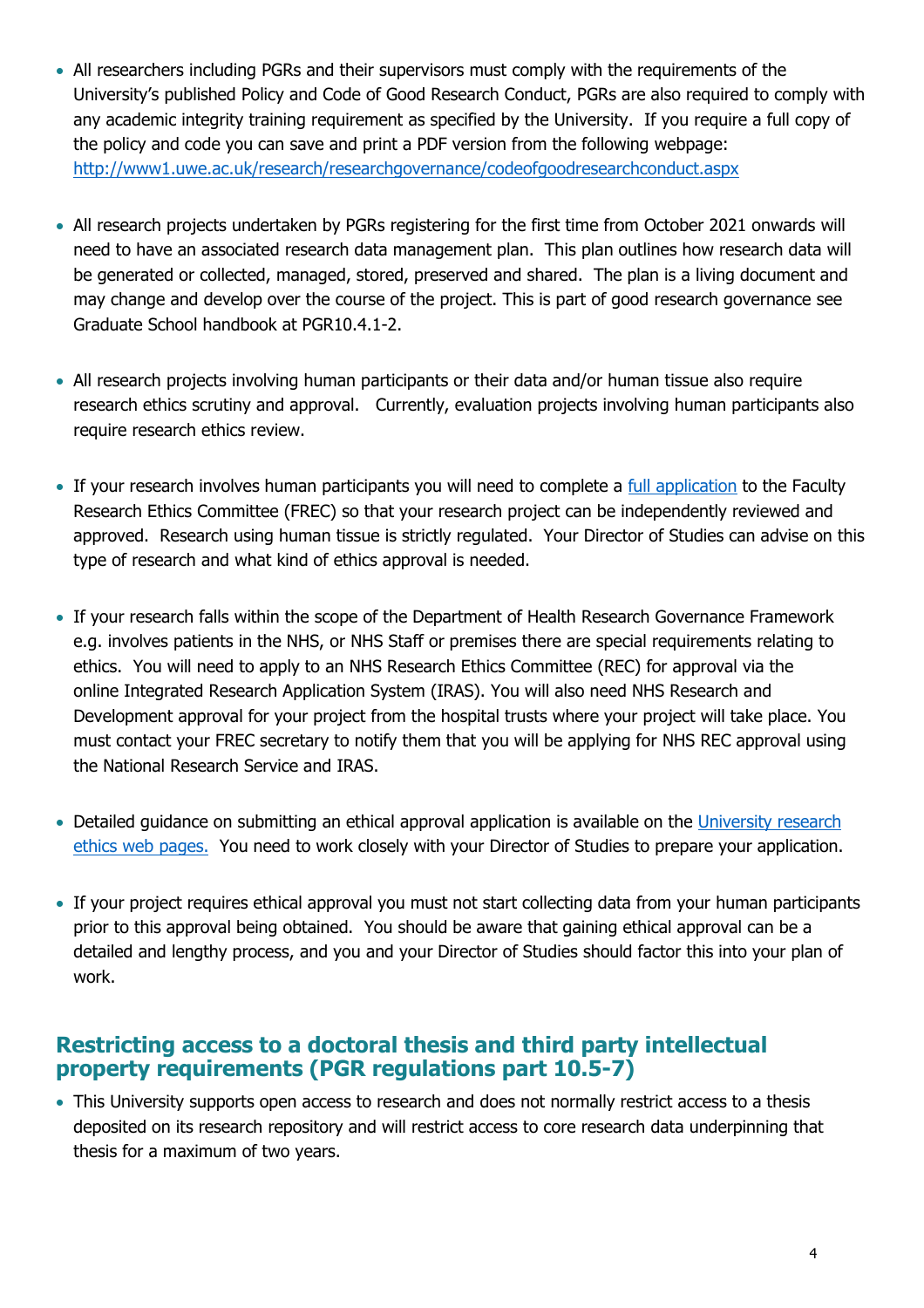- All researchers including PGRs and their supervisors must comply with the requirements of the University's published Policy and Code of Good Research Conduct, PGRs are also required to comply with any academic integrity training requirement as specified by the University. If you require a full copy of the policy and code you can save and print a PDF version from the following webpage: <http://www1.uwe.ac.uk/research/researchgovernance/codeofgoodresearchconduct.aspx>
- All research projects undertaken by PGRs registering for the first time from October 2021 onwards will need to have an associated research data management plan. This plan outlines how research data will be generated or collected, managed, stored, preserved and shared. The plan is a living document and may change and develop over the course of the project. This is part of good research governance see Graduate School handbook at PGR10.4.1-2.
- All research projects involving human participants or their data and/or human tissue also require research ethics scrutiny and approval. Currently, evaluation projects involving human participants also require research ethics review.
- If your research involves human participants you will need to complete a [full application](https://www1.uwe.ac.uk/research/researchethics/applyingforapproval.aspx) to the Faculty Research Ethics Committee (FREC) so that your research project can be independently reviewed and approved. Research using human tissue is strictly regulated. Your Director of Studies can advise on this type of research and what kind of ethics approval is needed.
- If your research falls within the scope of the Department of Health Research Governance Framework e.g. involves patients in the NHS, or NHS Staff or premises there are special requirements relating to ethics. You will need to apply to an NHS Research Ethics Committee (REC) for approval via the online Integrated Research Application System (IRAS). You will also need NHS Research and Development approval for your project from the hospital trusts where your project will take place. You must contact your FREC secretary to notify them that you will be applying for NHS REC approval using the National Research Service and IRAS.
- Detailed guidance on submitting an ethical approval application is available on the University research [ethics web pages.](https://www1.uwe.ac.uk/research/researchethics/applyingforapproval.aspx) You need to work closely with your Director of Studies to prepare your application.
- If your project requires ethical approval you must not start collecting data from your human participants prior to this approval being obtained. You should be aware that gaining ethical approval can be a detailed and lengthy process, and you and your Director of Studies should factor this into your plan of work.

### **Restricting access to a doctoral thesis and third party intellectual property requirements (PGR regulations part 10.5-7)**

• This University supports open access to research and does not normally restrict access to a thesis deposited on its research repository and will restrict access to core research data underpinning that thesis for a maximum of two years.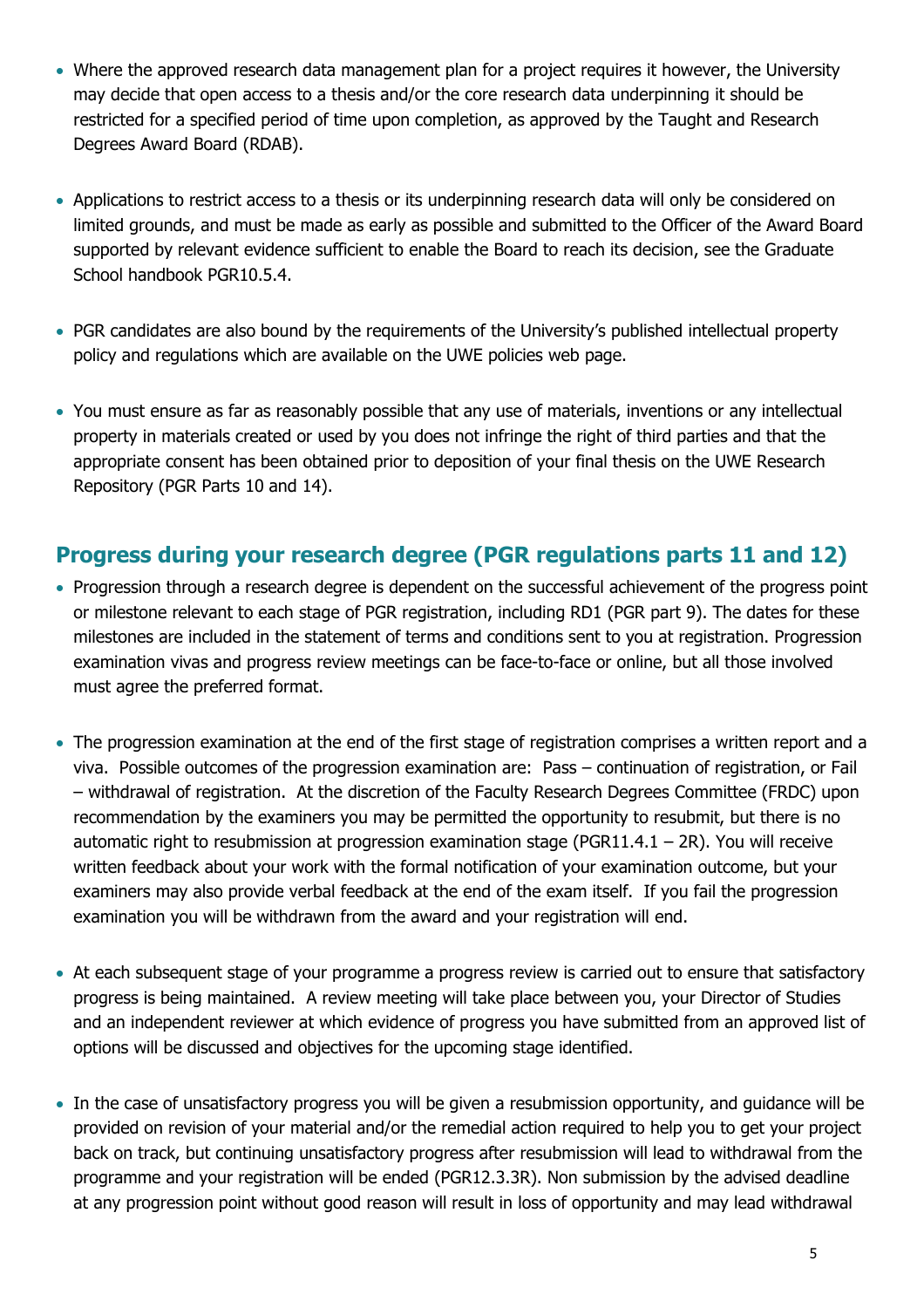- Where the approved research data management plan for a project requires it however, the University may decide that open access to a thesis and/or the core research data underpinning it should be restricted for a specified period of time upon completion, as approved by the Taught and Research Degrees Award Board (RDAB).
- Applications to restrict access to a thesis or its underpinning research data will only be considered on limited grounds, and must be made as early as possible and submitted to the Officer of the Award Board supported by relevant evidence sufficient to enable the Board to reach its decision, see the Graduate School handbook PGR10.5.4.
- PGR candidates are also bound by the requirements of the University's published intellectual property policy and regulations which are available on the UWE policies web page.
- You must ensure as far as reasonably possible that any use of materials, inventions or any intellectual property in materials created or used by you does not infringe the right of third parties and that the appropriate consent has been obtained prior to deposition of your final thesis on the UWE Research Repository (PGR Parts 10 and 14).

## **Progress during your research degree (PGR regulations parts 11 and 12)**

- Progression through a research degree is dependent on the successful achievement of the progress point or milestone relevant to each stage of PGR registration, including RD1 (PGR part 9). The dates for these milestones are included in the statement of terms and conditions sent to you at registration. Progression examination vivas and progress review meetings can be face-to-face or online, but all those involved must agree the preferred format.
- The progression examination at the end of the first stage of registration comprises a written report and a viva. Possible outcomes of the progression examination are: Pass – continuation of registration, or Fail – withdrawal of registration. At the discretion of the Faculty Research Degrees Committee (FRDC) upon recommendation by the examiners you may be permitted the opportunity to resubmit, but there is no automatic right to resubmission at progression examination stage (PGR11.4.1 – 2R). You will receive written feedback about your work with the formal notification of your examination outcome, but your examiners may also provide verbal feedback at the end of the exam itself. If you fail the progression examination you will be withdrawn from the award and your registration will end.
- At each subsequent stage of your programme a progress review is carried out to ensure that satisfactory progress is being maintained. A review meeting will take place between you, your Director of Studies and an independent reviewer at which evidence of progress you have submitted from an approved list of options will be discussed and objectives for the upcoming stage identified.
- In the case of unsatisfactory progress you will be given a resubmission opportunity, and guidance will be provided on revision of your material and/or the remedial action required to help you to get your project back on track, but continuing unsatisfactory progress after resubmission will lead to withdrawal from the programme and your registration will be ended (PGR12.3.3R). Non submission by the advised deadline at any progression point without good reason will result in loss of opportunity and may lead withdrawal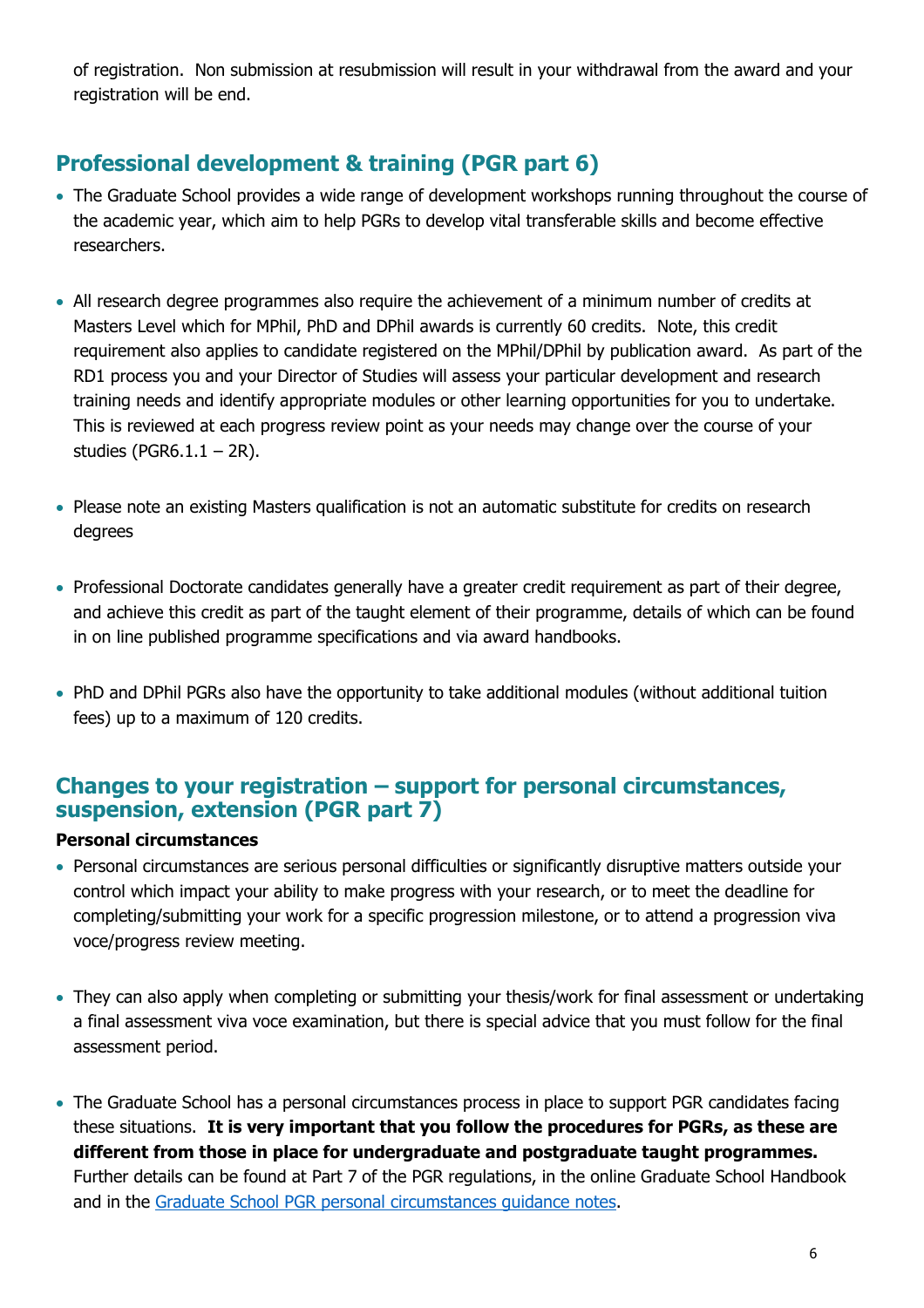of registration. Non submission at resubmission will result in your withdrawal from the award and your registration will be end.

# **Professional development & training (PGR part 6)**

- The Graduate School provides a wide range of development workshops running throughout the course of the academic year, which aim to help PGRs to develop vital transferable skills and become effective researchers.
- All research degree programmes also require the achievement of a minimum number of credits at Masters Level which for MPhil, PhD and DPhil awards is currently 60 credits. Note, this credit requirement also applies to candidate registered on the MPhil/DPhil by publication award. As part of the RD1 process you and your Director of Studies will assess your particular development and research training needs and identify appropriate modules or other learning opportunities for you to undertake. This is reviewed at each progress review point as your needs may change over the course of your studies (PGR6.1.1 – 2R).
- Please note an existing Masters qualification is not an automatic substitute for credits on research degrees
- Professional Doctorate candidates generally have a greater credit requirement as part of their degree, and achieve this credit as part of the taught element of their programme, details of which can be found in on line published programme specifications and via award handbooks.
- PhD and DPhil PGRs also have the opportunity to take additional modules (without additional tuition fees) up to a maximum of 120 credits.

## **Changes to your registration – support for personal circumstances, suspension, extension (PGR part 7)**

#### **Personal circumstances**

- Personal circumstances are serious personal difficulties or significantly disruptive matters outside your control which impact your ability to make progress with your research, or to meet the deadline for completing/submitting your work for a specific progression milestone, or to attend a progression viva voce/progress review meeting.
- They can also apply when completing or submitting your thesis/work for final assessment or undertaking a final assessment viva voce examination, but there is special advice that you must follow for the final assessment period.
- The Graduate School has a personal circumstances process in place to support PGR candidates facing these situations. **It is very important that you follow the procedures for PGRs, as these are different from those in place for undergraduate and postgraduate taught programmes.**  Further details can be found at Part 7 of the PGR regulations, in the online Graduate School Handbook and in the [Graduate School PGR personal circumstances guidance notes.](http://www1.uwe.ac.uk/research/postgraduateresearchstudy/studysupport/applyingforresearchstudy-7.aspx)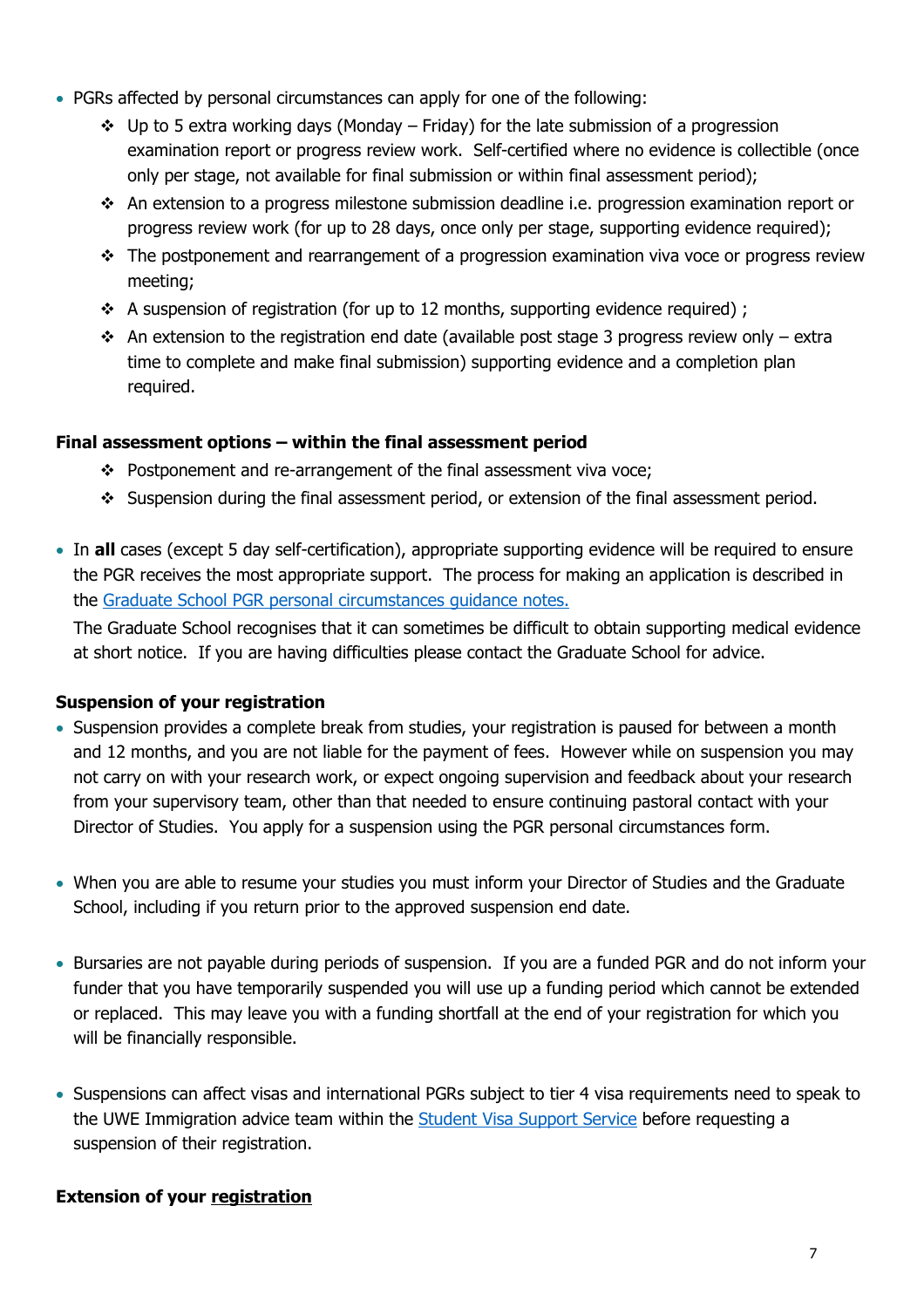- PGRs affected by personal circumstances can apply for one of the following:
	- $\div$  Up to 5 extra working days (Monday Friday) for the late submission of a progression examination report or progress review work. Self-certified where no evidence is collectible (once only per stage, not available for final submission or within final assessment period);
	- ❖ An extension to a progress milestone submission deadline i.e. progression examination report or progress review work (for up to 28 days, once only per stage, supporting evidence required);
	- ❖ The postponement and rearrangement of a progression examination viva voce or progress review meeting;
	- $\div$  A suspension of registration (for up to 12 months, supporting evidence required);
	- $\cdot$  An extension to the registration end date (available post stage 3 progress review only extra time to complete and make final submission) supporting evidence and a completion plan required.

#### **Final assessment options – within the final assessment period**

- ❖ Postponement and re-arrangement of the final assessment viva voce;
- ❖ Suspension during the final assessment period, or extension of the final assessment period.
- In **all** cases (except 5 day self-certification), appropriate supporting evidence will be required to ensure the PGR receives the most appropriate support. The process for making an application is described in the [Graduate School PGR personal circumstances guidance notes.](http://www1.uwe.ac.uk/research/postgraduateresearchstudy/studysupport/applyingforresearchstudy-7.aspx)

The Graduate School recognises that it can sometimes be difficult to obtain supporting medical evidence at short notice. If you are having difficulties please contact the Graduate School for advice.

#### **Suspension of your registration**

- Suspension provides a complete break from studies, your registration is paused for between a month and 12 months, and you are not liable for the payment of fees. However while on suspension you may not carry on with your research work, or expect ongoing supervision and feedback about your research from your supervisory team, other than that needed to ensure continuing pastoral contact with your Director of Studies. You apply for a suspension using the PGR personal circumstances form.
- When you are able to resume your studies you must inform your Director of Studies and the Graduate School, including if you return prior to the approved suspension end date.
- Bursaries are not payable during periods of suspension. If you are a funded PGR and do not inform your funder that you have temporarily suspended you will use up a funding period which cannot be extended or replaced. This may leave you with a funding shortfall at the end of your registration for which you will be financially responsible.
- Suspensions can affect visas and international PGRs subject to tier 4 visa requirements need to speak to the UWE Immigration advice team within the [Student Visa Support Service](https://www1.uwe.ac.uk/study/internationalstudents/visasandimmigration/studentvisasupportservice.aspx) before requesting a suspension of their registration.

#### **Extension of your registration**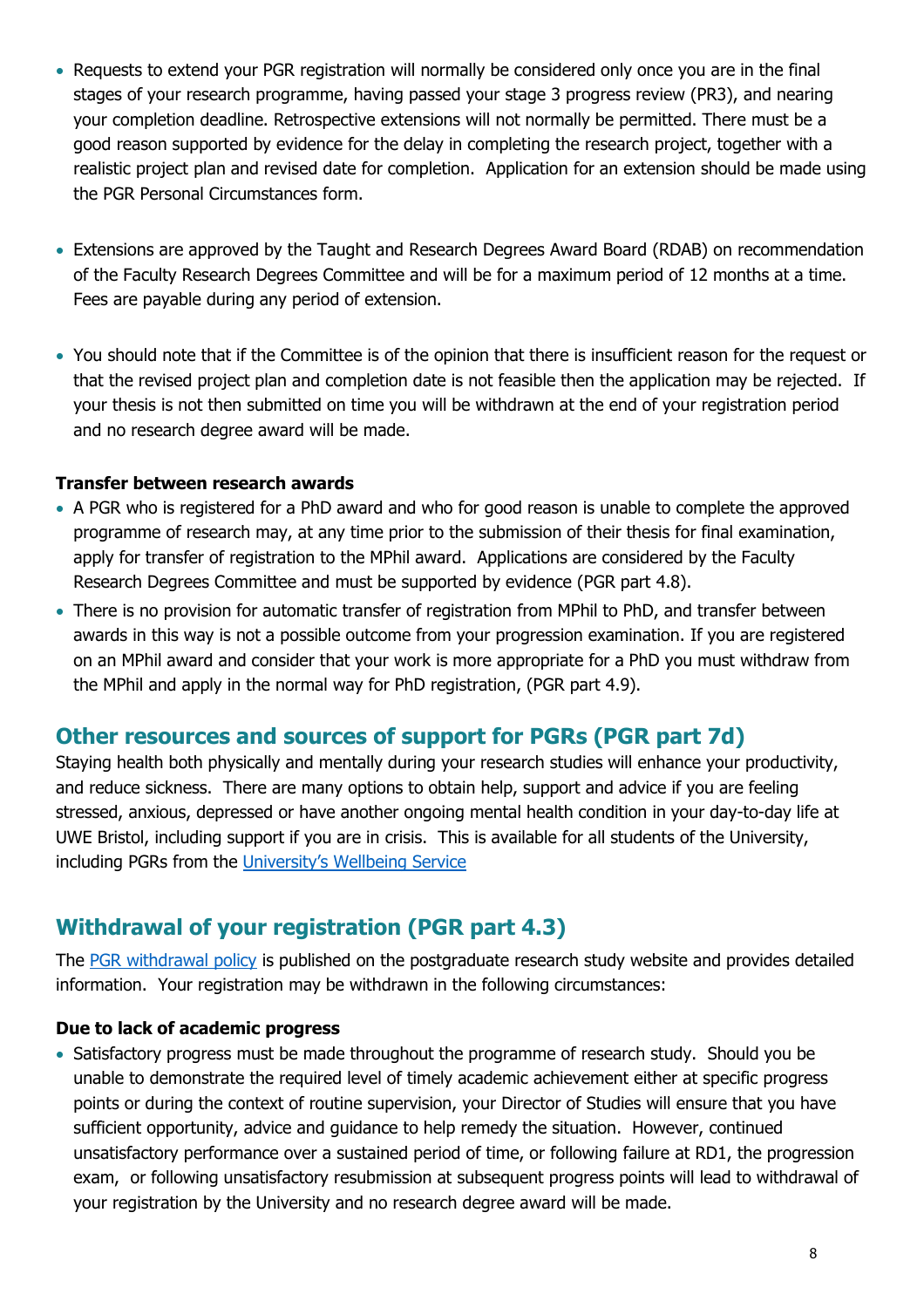- Requests to extend your PGR registration will normally be considered only once you are in the final stages of your research programme, having passed your stage 3 progress review (PR3), and nearing your completion deadline. Retrospective extensions will not normally be permitted. There must be a good reason supported by evidence for the delay in completing the research project, together with a realistic project plan and revised date for completion. Application for an extension should be made using the PGR Personal Circumstances form.
- Extensions are approved by the Taught and Research Degrees Award Board (RDAB) on recommendation of the Faculty Research Degrees Committee and will be for a maximum period of 12 months at a time. Fees are payable during any period of extension.
- You should note that if the Committee is of the opinion that there is insufficient reason for the request or that the revised project plan and completion date is not feasible then the application may be rejected. If your thesis is not then submitted on time you will be withdrawn at the end of your registration period and no research degree award will be made.

#### **Transfer between research awards**

- A PGR who is registered for a PhD award and who for good reason is unable to complete the approved programme of research may, at any time prior to the submission of their thesis for final examination, apply for transfer of registration to the MPhil award. Applications are considered by the Faculty Research Degrees Committee and must be supported by evidence (PGR part 4.8).
- There is no provision for automatic transfer of registration from MPhil to PhD, and transfer between awards in this way is not a possible outcome from your progression examination. If you are registered on an MPhil award and consider that your work is more appropriate for a PhD you must withdraw from the MPhil and apply in the normal way for PhD registration, (PGR part 4.9).

### **Other resources and sources of support for PGRs (PGR part 7d)**

Staying health both physically and mentally during your research studies will enhance your productivity, and reduce sickness. There are many options to obtain help, support and advice if you are feeling stressed, anxious, depressed or have another ongoing mental health condition in your day-to-day life at UWE Bristol, including support if you are in crisis. This is available for all students of the University, including PGRs from the [University's Wellbeing Service](https://www.uwe.ac.uk/life/health-and-wellbeing/get-wellbeing-support)

## **Withdrawal of your registration (PGR part 4.3)**

The [PGR withdrawal policy](http://www1.uwe.ac.uk/research/postgraduateresearchstudy/studysupport/applyingforresearchstudy-6.aspx) is published on the postgraduate research study website and provides detailed information. Your registration may be withdrawn in the following circumstances:

#### **Due to lack of academic progress**

• Satisfactory progress must be made throughout the programme of research study. Should you be unable to demonstrate the required level of timely academic achievement either at specific progress points or during the context of routine supervision, your Director of Studies will ensure that you have sufficient opportunity, advice and guidance to help remedy the situation. However, continued unsatisfactory performance over a sustained period of time, or following failure at RD1, the progression exam, or following unsatisfactory resubmission at subsequent progress points will lead to withdrawal of your registration by the University and no research degree award will be made.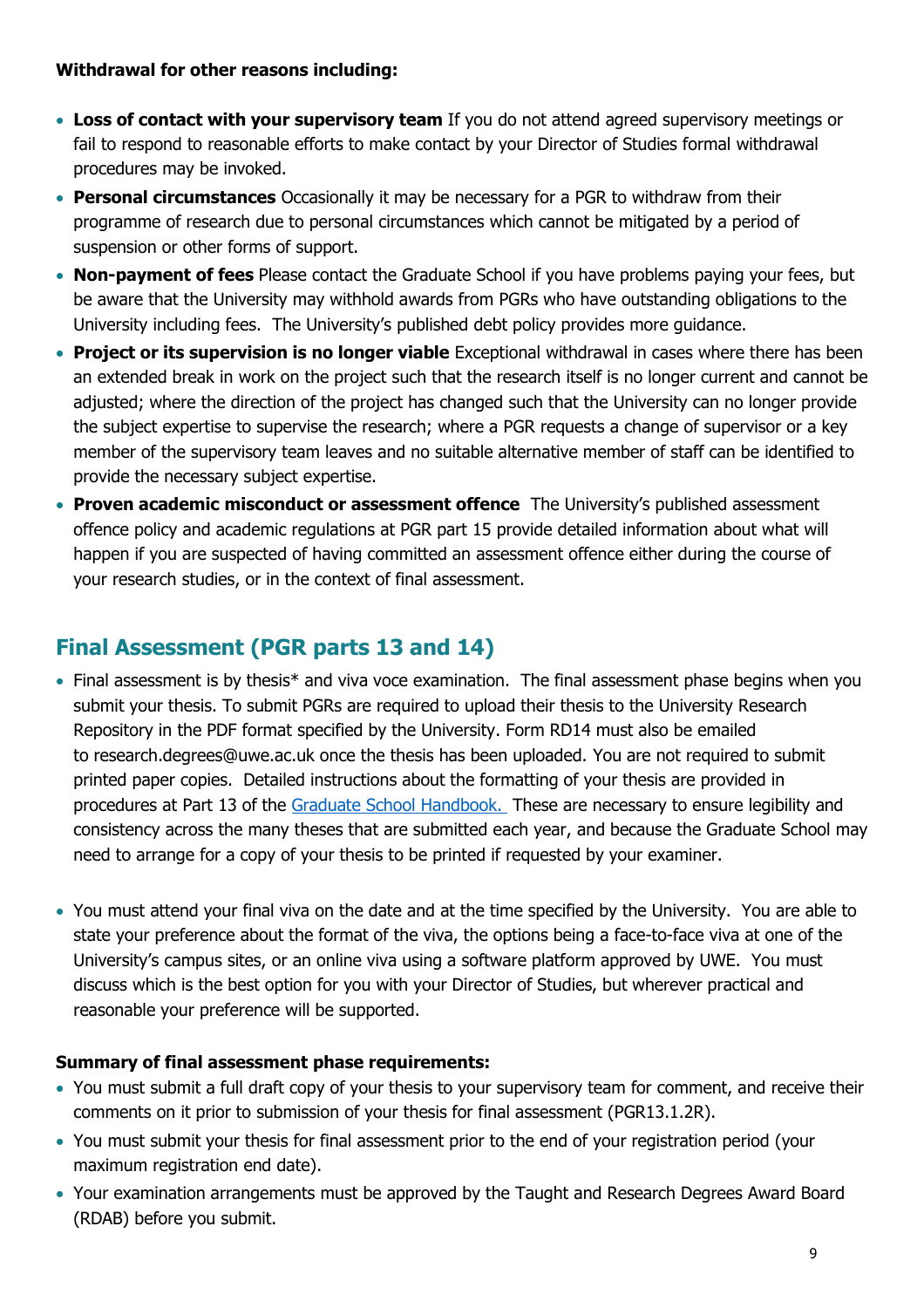#### **Withdrawal for other reasons including:**

- **Loss of contact with your supervisory team** If you do not attend agreed supervisory meetings or fail to respond to reasonable efforts to make contact by your Director of Studies formal withdrawal procedures may be invoked.
- **Personal circumstances** Occasionally it may be necessary for a PGR to withdraw from their programme of research due to personal circumstances which cannot be mitigated by a period of suspension or other forms of support.
- **Non-payment of fees** Please contact the Graduate School if you have problems paying your fees, but be aware that the University may withhold awards from PGRs who have outstanding obligations to the University including fees. The University's published debt policy provides more guidance.
- **Project or its supervision is no longer viable** Exceptional withdrawal in cases where there has been an extended break in work on the project such that the research itself is no longer current and cannot be adjusted; where the direction of the project has changed such that the University can no longer provide the subject expertise to supervise the research; where a PGR requests a change of supervisor or a key member of the supervisory team leaves and no suitable alternative member of staff can be identified to provide the necessary subject expertise.
- **Proven academic misconduct or assessment offence** The University's published assessment offence policy and academic regulations at PGR part 15 provide detailed information about what will happen if you are suspected of having committed an assessment offence either during the course of your research studies, or in the context of final assessment.

# **Final Assessment (PGR parts 13 and 14)**

- Final assessment is by thesis\* and viva voce examination. The final assessment phase begins when you submit your thesis. To submit PGRs are required to upload their thesis to the University Research Repository in the PDF format specified by the University. Form RD14 must also be emailed to research.degrees@uwe.ac.uk once the thesis has been uploaded. You are not required to submit printed paper copies. Detailed instructions about the formatting of your thesis are provided in procedures at Part 13 of the [Graduate School Handbook.](https://www.uwe.ac.uk/research/postgraduate-research-study/current-postgraduate-researchers/graduate-school-handbook/part-13-final-preparation) These are necessary to ensure legibility and consistency across the many theses that are submitted each year, and because the Graduate School may need to arrange for a copy of your thesis to be printed if requested by your examiner.
- You must attend your final viva on the date and at the time specified by the University. You are able to state your preference about the format of the viva, the options being a face-to-face viva at one of the University's campus sites, or an online viva using a software platform approved by UWE. You must discuss which is the best option for you with your Director of Studies, but wherever practical and reasonable your preference will be supported.

#### **Summary of final assessment phase requirements:**

- You must submit a full draft copy of your thesis to your supervisory team for comment, and receive their comments on it prior to submission of your thesis for final assessment (PGR13.1.2R).
- You must submit your thesis for final assessment prior to the end of your registration period (your maximum registration end date).
- Your examination arrangements must be approved by the Taught and Research Degrees Award Board (RDAB) before you submit.